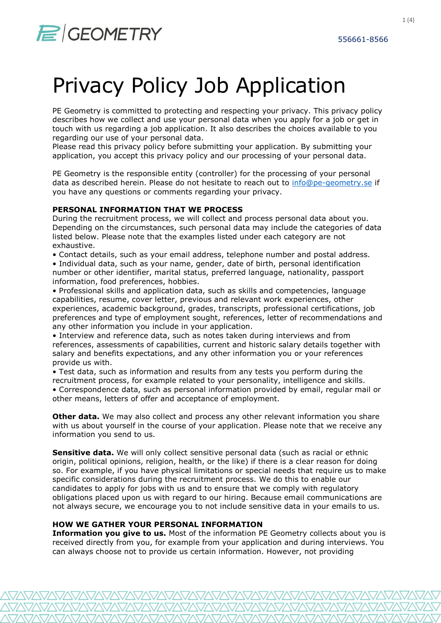PE Geometry is committed to protecting and respecting your privacy. This privacy policy describes how we collect and use your personal data when you apply for a job or get in touch with us regarding a job application. It also describes the choices available to you regarding our use of your personal data.

Please read this privacy policy before submitting your application. By submitting your application, you accept this privacy policy and our processing of your personal data.

PE Geometry is the responsible entity (controller) for the processing of your personal data as described herein. Please do not hesitate to reach out to info@pe-geometry.se if you have any questions or comments regarding your privacy.

## PERSONAL INFORMATION THAT WE PROCESS

During the recruitment process, we will collect and process personal data about you. Depending on the circumstances, such personal data may include the categories of data listed below. Please note that the examples listed under each category are not exhaustive.

• Contact details, such as your email address, telephone number and postal address.

• Individual data, such as your name, gender, date of birth, personal identification number or other identifier, marital status, preferred language, nationality, passport information, food preferences, hobbies.

• Professional skills and application data, such as skills and competencies, language capabilities, resume, cover letter, previous and relevant work experiences, other experiences, academic background, grades, transcripts, professional certifications, job preferences and type of employment sought, references, letter of recommendations and any other information you include in your application.

• Interview and reference data, such as notes taken during interviews and from references, assessments of capabilities, current and historic salary details together with salary and benefits expectations, and any other information you or your references provide us with.

• Test data, such as information and results from any tests you perform during the recruitment process, for example related to your personality, intelligence and skills. • Correspondence data, such as personal information provided by email, regular mail or other means, letters of offer and acceptance of employment.

Other data. We may also collect and process any other relevant information you share with us about yourself in the course of your application. Please note that we receive any information you send to us.

**Sensitive data.** We will only collect sensitive personal data (such as racial or ethnic origin, political opinions, religion, health, or the like) if there is a clear reason for doing so. For example, if you have physical limitations or special needs that require us to make specific considerations during the recruitment process. We do this to enable our candidates to apply for jobs with us and to ensure that we comply with regulatory obligations placed upon us with regard to our hiring. Because email communications are not always secure, we encourage you to not include sensitive data in your emails to us.

# HOW WE GATHER YOUR PERSONAL INFORMATION

**Information you give to us.** Most of the information PE Geometry collects about you is received directly from you, for example from your application and during interviews. You can always choose not to provide us certain information. However, not providing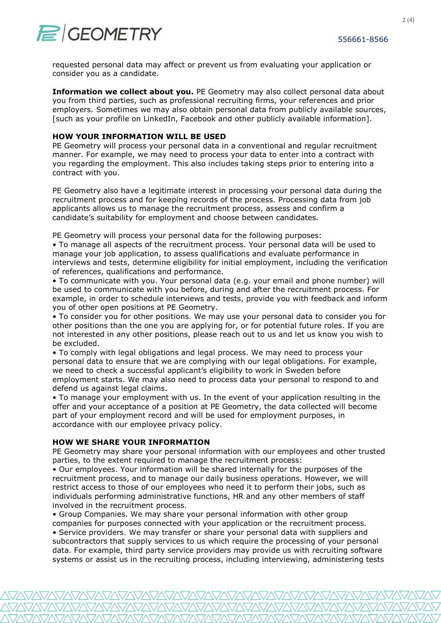

requested personal data may affect or prevent us from evaluating your application or consider you as a candidate.

Information we collect about you. PE Geometry may also collect personal data about you from third parties, such as professional recruiting firms, your references and prior employers. Sometimes we may also obtain personal data from publicly available sources, [such as your profile on LinkedIn, Facebook and other publicly available information].

## HOW YOUR INFORMATION WILL BE USED

PE Geometry will process your personal data in a conventional and regular recruitment manner. For example, we may need to process your data to enter into a contract with you regarding the employment. This also includes taking steps prior to entering into a contract with you.

PE Geometry also have a legitimate interest in processing your personal data during the recruitment process and for keeping records of the process. Processing data from job applicants allows us to manage the recruitment process, assess and confirm a candidate's suitability for employment and choose between candidates.

PE Geometry will process your personal data for the following purposes:

• To manage all aspects of the recruitment process. Your personal data will be used to manage your job application, to assess qualifications and evaluate performance in interviews and tests, determine eligibility for initial employment, including the verification of references, qualifications and performance.

• To communicate with you. Your personal data (e.g. your email and phone number) will be used to communicate with you before, during and after the recruitment process. For example, in order to schedule interviews and tests, provide you with feedback and inform you of other open positions at PE Geometry.

• To consider you for other positions. We may use your personal data to consider you for other positions than the one you are applying for, or for potential future roles. If you are not interested in any other positions, please reach out to us and let us know you wish to be excluded.

• To comply with legal obligations and legal process. We may need to process your personal data to ensure that we are complying with our legal obligations. For example, we need to check a successful applicant's eligibility to work in Sweden before employment starts. We may also need to process data your personal to respond to and defend us against legal claims.

• To manage your employment with us. In the event of your application resulting in the offer and your acceptance of a position at PE Geometry, the data collected will become part of your employment record and will be used for employment purposes, in accordance with our employee privacy policy.

### HOW WE SHARE YOUR INFORMATION

PE Geometry may share your personal information with our employees and other trusted parties, to the extent required to manage the recruitment process:

• Our employees. Your information will be shared internally for the purposes of the recruitment process, and to manage our daily business operations. However, we will restrict access to those of our employees who need it to perform their jobs, such as individuals performing administrative functions, HR and any other members of staff involved in the recruitment process.

• Group Companies. We may share your personal information with other group companies for purposes connected with your application or the recruitment process. • Service providers. We may transfer or share your personal data with suppliers and subcontractors that supply services to us which require the processing of your personal data. For example, third party service providers may provide us with recruiting software systems or assist us in the recruiting process, including interviewing, administering tests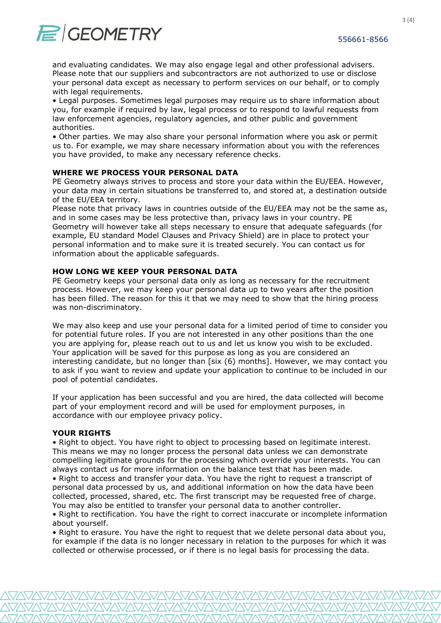

and evaluating candidates. We may also engage legal and other professional advisers. Please note that our suppliers and subcontractors are not authorized to use or disclose your personal data except as necessary to perform services on our behalf, or to comply with legal requirements.

• Legal purposes. Sometimes legal purposes may require us to share information about you, for example if required by law, legal process or to respond to lawful requests from law enforcement agencies, regulatory agencies, and other public and government authorities.

• Other parties. We may also share your personal information where you ask or permit us to. For example, we may share necessary information about you with the references you have provided, to make any necessary reference checks.

#### WHERE WE PROCESS YOUR PERSONAL DATA

PE Geometry always strives to process and store your data within the EU/EEA. However, your data may in certain situations be transferred to, and stored at, a destination outside of the EU/EEA territory.

Please note that privacy laws in countries outside of the EU/EEA may not be the same as, and in some cases may be less protective than, privacy laws in your country. PE Geometry will however take all steps necessary to ensure that adequate safeguards (for example, EU standard Model Clauses and Privacy Shield) are in place to protect your personal information and to make sure it is treated securely. You can contact us for information about the applicable safeguards.

## HOW LONG WE KEEP YOUR PERSONAL DATA

PE Geometry keeps your personal data only as long as necessary for the recruitment process. However, we may keep your personal data up to two years after the position has been filled. The reason for this it that we may need to show that the hiring process was non-discriminatory.

We may also keep and use your personal data for a limited period of time to consider you for potential future roles. If you are not interested in any other positions than the one you are applying for, please reach out to us and let us know you wish to be excluded. Your application will be saved for this purpose as long as you are considered an interesting candidate, but no longer than [six (6) months]. However, we may contact you to ask if you want to review and update your application to continue to be included in our pool of potential candidates.

If your application has been successful and you are hired, the data collected will become part of your employment record and will be used for employment purposes, in accordance with our employee privacy policy.

#### YOUR RIGHTS

• Right to object. You have right to object to processing based on legitimate interest. This means we may no longer process the personal data unless we can demonstrate compelling legitimate grounds for the processing which override your interests. You can always contact us for more information on the balance test that has been made. • Right to access and transfer your data. You have the right to request a transcript of

personal data processed by us, and additional information on how the data have been collected, processed, shared, etc. The first transcript may be requested free of charge. You may also be entitled to transfer your personal data to another controller.

• Right to rectification. You have the right to correct inaccurate or incomplete information about yourself.

• Right to erasure. You have the right to request that we delete personal data about you, for example if the data is no longer necessary in relation to the purposes for which it was collected or otherwise processed, or if there is no legal basis for processing the data.